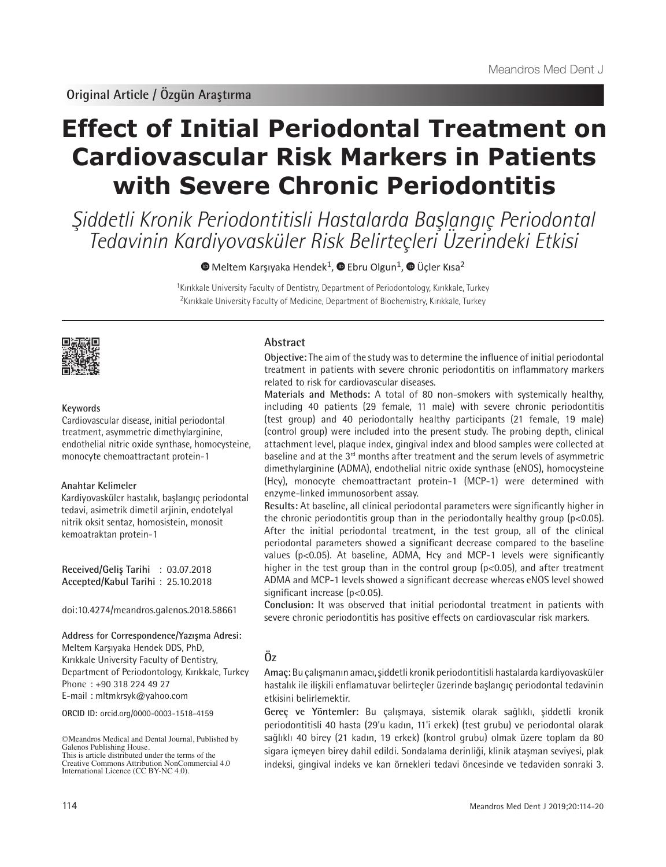# **Effect of Initial Periodontal Treatment on Cardiovascular Risk Markers in Patients with Severe Chronic Periodontitis**

Şiddetli Kronik Periodontitisli Hastalarda Başlangıç Periodontal Tedavinin Kardiyovasküler Risk Belirteçleri Üzerindeki Etkisi

 $\bullet$ Meltem Karşıyaka Hendek<sup>1</sup>,  $\bullet$  Ebru Olgun<sup>1</sup>,  $\bullet$  Üçler Kısa<sup>2</sup>

<sup>1</sup>Kırıkkale University Faculty of Dentistry, Department of Periodontology, Kırıkkale, Turkey <sup>2</sup>Kırıkkale University Faculty of Medicine, Department of Biochemistry, Kırıkkale, Turkey



# **Keywords**

Cardiovascular disease, initial periodontal treatment, asymmetric dimethylarginine, endothelial nitric oxide synthase, homocysteine, monocyte chemoattractant protein-1

#### **Anahtar Kelimeler**

Kardiyovasküler hastalık, başlangıç periodontal tedavi, asimetrik dimetil arjinin, endotelyal nitrik oksit sentaz, homosistein, monosit kemoatraktan protein-1

**Received/Geliş Tarihi** : 03.07.2018 **Accepted/Kabul Tarihi** : 25.10.2018

doi:10.4274/meandros.galenos.2018.58661

#### **Address for Correspondence/Yazışma Adresi:** Meltem Karşıyaka Hendek DDS, PhD,

Kırıkkale University Faculty of Dentistry, Department of Periodontology, Kırıkkale, Turkey Phone : +90 318 224 49 27 E-mail : mltmkrsyk@yahoo.com

**ORCID ID:** orcid.org/0000-0003-1518-4159

# **Abstract**

**Objective:** The aim of the study was to determine the influence of initial periodontal treatment in patients with severe chronic periodontitis on inflammatory markers related to risk for cardiovascular diseases.

**Materials and Methods:** A total of 80 non-smokers with systemically healthy, including 40 patients (29 female, 11 male) with severe chronic periodontitis (test group) and 40 periodontally healthy participants (21 female, 19 male) (control group) were included into the present study. The probing depth, clinical attachment level, plaque index, gingival index and blood samples were collected at baseline and at the 3<sup>rd</sup> months after treatment and the serum levels of asymmetric dimethylarginine (ADMA), endothelial nitric oxide synthase (eNOS), homocysteine (Hcy), monocyte chemoattractant protein-1 (MCP-1) were determined with enzyme-linked immunosorbent assay.

**Results:** At baseline, all clinical periodontal parameters were significantly higher in the chronic periodontitis group than in the periodontally healthy group ( $p<0.05$ ). After the initial periodontal treatment, in the test group, all of the clinical periodontal parameters showed a significant decrease compared to the baseline values (p<0.05). At baseline, ADMA, Hcy and MCP-1 levels were significantly higher in the test group than in the control group (p<0.05), and after treatment ADMA and MCP-1 levels showed a significant decrease whereas eNOS level showed significant increase (p<0.05).

**Conclusion:** It was observed that initial periodontal treatment in patients with severe chronic periodontitis has positive effects on cardiovascular risk markers.

# **Öz**

**Amaç:** Bu çalışmanın amacı, şiddetli kronik periodontitisli hastalarda kardiyovasküler hastalık ile ilişkili enflamatuvar belirteçler üzerinde başlangıç periodontal tedavinin etkisini belirlemektir.

**Gereç ve Yöntemler:** Bu çalışmaya, sistemik olarak sağlıklı, şiddetli kronik periodontitisli 40 hasta (29'u kadın, 11'i erkek) (test grubu) ve periodontal olarak sağlıklı 40 birey (21 kadın, 19 erkek) (kontrol grubu) olmak üzere toplam da 80 sigara içmeyen birey dahil edildi. Sondalama derinliği, klinik ataşman seviyesi, plak indeksi, gingival indeks ve kan örnekleri tedavi öncesinde ve tedaviden sonraki 3.

<sup>©</sup>Meandros Medical and Dental Journal, Published by Galenos Publishing House. This is article distributed under the terms of the

Creative Commons Attribution NonCommercial 4.0 International Licence (CC BY-NC 4.0).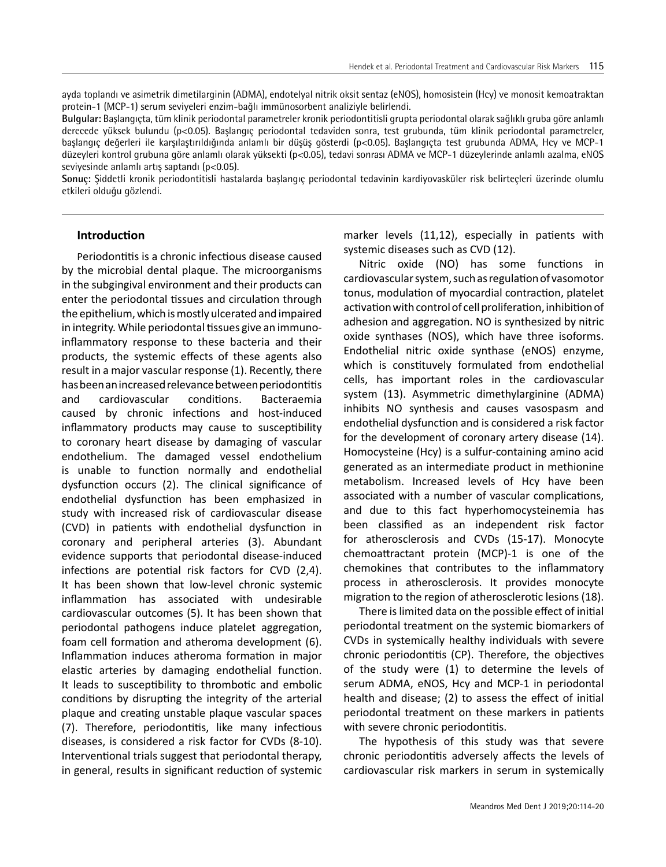ayda toplandı ve asimetrik dimetilarginin (ADMA), endotelyal nitrik oksit sentaz (eNOS), homosistein (Hcy) ve monosit kemoatraktan protein-1 (MCP-1) serum seviyeleri enzim-bağlı immünosorbent analiziyle belirlendi.

**Bulgular:** Başlangıçta, tüm klinik periodontal parametreler kronik periodontitisli grupta periodontal olarak sağlıklı gruba göre anlamlı derecede yüksek bulundu (p<0.05). Başlangıç periodontal tedaviden sonra, test grubunda, tüm klinik periodontal parametreler, başlangıç değerleri ile karşılaştırıldığında anlamlı bir düşüş gösterdi (p<0.05). Başlangıçta test grubunda ADMA, Hcy ve MCP-1 düzeyleri kontrol grubuna göre anlamlı olarak yüksekti (p<0.05), tedavi sonrası ADMA ve MCP-1 düzeylerinde anlamlı azalma, eNOS seviyesinde anlamlı artış saptandı (p<0.05).

**Sonuç:** Şiddetli kronik periodontitisli hastalarda başlangıç periodontal tedavinin kardiyovasküler risk belirteçleri üzerinde olumlu etkileri olduğu gözlendi.

# **Introduction**

Periodontitis is a chronic infectious disease caused by the microbial dental plaque. The microorganisms in the subgingival environment and their products can enter the periodontal tissues and circulation through the epithelium, which is mostly ulcerated and impaired in integrity. While periodontal tissues give an immunoinflammatory response to these bacteria and their products, the systemic effects of these agents also result in a major vascular response (1). Recently, there has been an increased relevance between periodontitis and cardiovascular conditions. Bacteraemia caused by chronic infections and host-induced inflammatory products may cause to susceptibility to coronary heart disease by damaging of vascular endothelium. The damaged vessel endothelium is unable to function normally and endothelial dysfunction occurs (2). The clinical significance of endothelial dysfunction has been emphasized in study with increased risk of cardiovascular disease (CVD) in patients with endothelial dysfunction in coronary and peripheral arteries (3). Abundant evidence supports that periodontal disease-induced infections are potential risk factors for CVD (2,4). It has been shown that low-level chronic systemic inflammation has associated with undesirable cardiovascular outcomes (5). It has been shown that periodontal pathogens induce platelet aggregation, foam cell formation and atheroma development (6). Inflammation induces atheroma formation in major elastic arteries by damaging endothelial function. It leads to susceptibility to thrombotic and embolic conditions by disrupting the integrity of the arterial plaque and creating unstable plaque vascular spaces (7). Therefore, periodontitis, like many infectious diseases, is considered a risk factor for CVDs (8-10). Interventional trials suggest that periodontal therapy, in general, results in significant reduction of systemic

marker levels (11,12), especially in patients with systemic diseases such as CVD (12).

Nitric oxide (NO) has some functions in cardiovascular system, such as regulation of vasomotor tonus, modulation of myocardial contraction, platelet activation with control of cell proliferation, inhibition of adhesion and aggregation. NO is synthesized by nitric oxide synthases (NOS), which have three isoforms. Endothelial nitric oxide synthase (eNOS) enzyme, which is constituvely formulated from endothelial cells, has important roles in the cardiovascular system (13). Asymmetric dimethylarginine (ADMA) inhibits NO synthesis and causes vasospasm and endothelial dysfunction and is considered a risk factor for the development of coronary artery disease (14). Homocysteine (Hcy) is a sulfur-containing amino acid generated as an intermediate product in methionine metabolism. Increased levels of Hcy have been associated with a number of vascular complications, and due to this fact hyperhomocysteinemia has been classified as an independent risk factor for atherosclerosis and CVDs (15-17). Monocyte chemoattractant protein (MCP)-1 is one of the chemokines that contributes to the inflammatory process in atherosclerosis. It provides monocyte migration to the region of atherosclerotic lesions (18).

There is limited data on the possible effect of initial periodontal treatment on the systemic biomarkers of CVDs in systemically healthy individuals with severe chronic periodontitis (CP). Therefore, the objectives of the study were (1) to determine the levels of serum ADMA, eNOS, Hcy and MCP-1 in periodontal health and disease; (2) to assess the effect of initial periodontal treatment on these markers in patients with severe chronic periodontitis.

The hypothesis of this study was that severe chronic periodontitis adversely affects the levels of cardiovascular risk markers in serum in systemically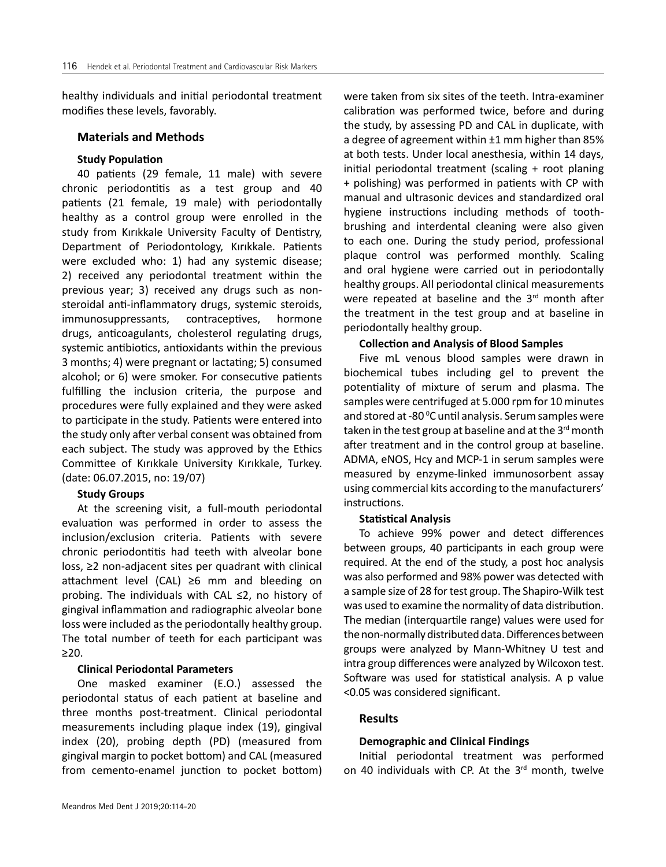healthy individuals and initial periodontal treatment modifies these levels, favorably.

#### **Materials and Methods**

# **Study Population**

40 patients (29 female, 11 male) with severe chronic periodontitis as a test group and 40 patients (21 female, 19 male) with periodontally healthy as a control group were enrolled in the study from Kırıkkale University Faculty of Dentistry, Department of Periodontology, Kırıkkale. Patients were excluded who: 1) had any systemic disease; 2) received any periodontal treatment within the previous year; 3) received any drugs such as nonsteroidal anti-inflammatory drugs, systemic steroids, immunosuppressants, contraceptives, hormone drugs, anticoagulants, cholesterol regulating drugs, systemic antibiotics, antioxidants within the previous 3 months; 4) were pregnant or lactating; 5) consumed alcohol; or 6) were smoker. For consecutive patients fulfilling the inclusion criteria, the purpose and procedures were fully explained and they were asked to participate in the study. Patients were entered into the study only after verbal consent was obtained from each subject. The study was approved by the Ethics Committee of Kırıkkale University Kırıkkale, Turkey. (date: 06.07.2015, no: 19/07)

#### **Study Groups**

At the screening visit, a full-mouth periodontal evaluation was performed in order to assess the inclusion/exclusion criteria. Patients with severe chronic periodontitis had teeth with alveolar bone loss, ≥2 non-adjacent sites per quadrant with clinical attachment level (CAL) ≥6 mm and bleeding on probing. The individuals with CAL ≤2, no history of gingival inflammation and radiographic alveolar bone loss were included as the periodontally healthy group. The total number of teeth for each participant was ≥20.

## **Clinical Periodontal Parameters**

One masked examiner (E.O.) assessed the periodontal status of each patient at baseline and three months post-treatment. Clinical periodontal measurements including plaque index (19), gingival index (20), probing depth (PD) (measured from gingival margin to pocket bottom) and CAL (measured from cemento-enamel junction to pocket bottom) were taken from six sites of the teeth. Intra-examiner calibration was performed twice, before and during the study, by assessing PD and CAL in duplicate, with a degree of agreement within ±1 mm higher than 85% at both tests. Under local anesthesia, within 14 days, initial periodontal treatment (scaling + root planing + polishing) was performed in patients with CP with manual and ultrasonic devices and standardized oral hygiene instructions including methods of toothbrushing and interdental cleaning were also given to each one. During the study period, professional plaque control was performed monthly. Scaling and oral hygiene were carried out in periodontally healthy groups. All periodontal clinical measurements were repeated at baseline and the  $3<sup>rd</sup>$  month after the treatment in the test group and at baseline in periodontally healthy group.

# **Collection and Analysis of Blood Samples**

Five mL venous blood samples were drawn in biochemical tubes including gel to prevent the potentiality of mixture of serum and plasma. The samples were centrifuged at 5.000 rpm for 10 minutes and stored at -80 °C until analysis. Serum samples were taken in the test group at baseline and at the  $3<sup>rd</sup>$  month after treatment and in the control group at baseline. ADMA, eNOS, Hcy and MCP-1 in serum samples were measured by enzyme-linked immunosorbent assay using commercial kits according to the manufacturers' instructions.

#### **Statistical Analysis**

To achieve 99% power and detect differences between groups, 40 participants in each group were required. At the end of the study, a post hoc analysis was also performed and 98% power was detected with a sample size of 28 for test group. The Shapiro-Wilk test was used to examine the normality of data distribution. The median (interquartile range) values were used for the non-normally distributed data. Differences between groups were analyzed by Mann-Whitney U test and intra group differences were analyzed by Wilcoxon test. Software was used for statistical analysis. A p value <0.05 was considered significant.

#### **Results**

#### **Demographic and Clinical Findings**

Initial periodontal treatment was performed on 40 individuals with CP. At the  $3<sup>rd</sup>$  month, twelve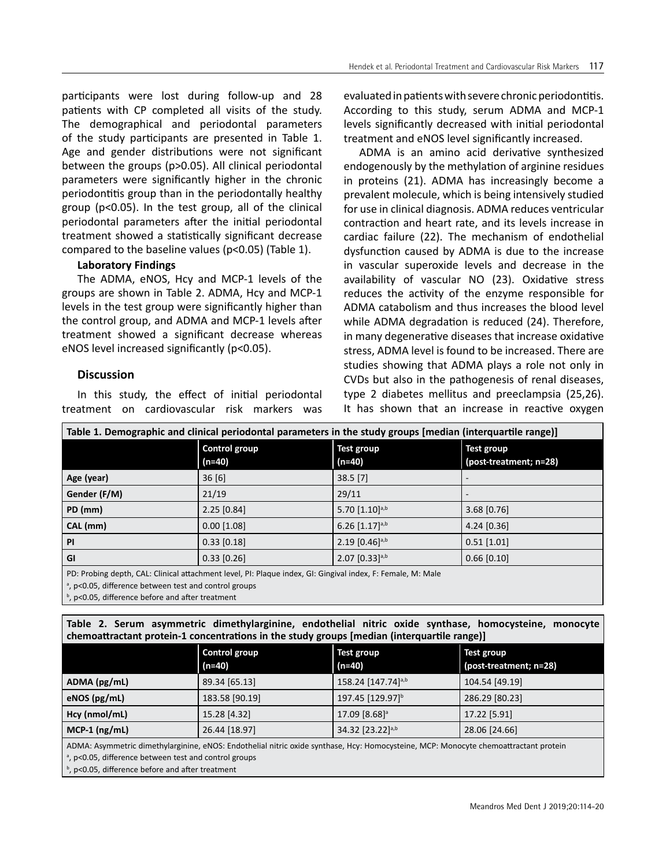participants were lost during follow-up and 28 patients with CP completed all visits of the study. The demographical and periodontal parameters of the study participants are presented in Table 1. Age and gender distributions were not significant between the groups (p>0.05). All clinical periodontal parameters were significantly higher in the chronic periodontitis group than in the periodontally healthy group (p<0.05). In the test group, all of the clinical periodontal parameters after the initial periodontal treatment showed a statistically significant decrease compared to the baseline values (p<0.05) (Table 1).

# **Laboratory Findings**

The ADMA, eNOS, Hcy and MCP-1 levels of the groups are shown in Table 2. ADMA, Hcy and MCP-1 levels in the test group were significantly higher than the control group, and ADMA and MCP-1 levels after treatment showed a significant decrease whereas eNOS level increased significantly (p<0.05).

# **Discussion**

In this study, the effect of initial periodontal treatment on cardiovascular risk markers was

evaluated in patients with severe chronic periodontitis. According to this study, serum ADMA and MCP-1 levels significantly decreased with initial periodontal treatment and eNOS level significantly increased.

ADMA is an amino acid derivative synthesized endogenously by the methylation of arginine residues in proteins (21). ADMA has increasingly become a prevalent molecule, which is being intensively studied for use in clinical diagnosis. ADMA reduces ventricular contraction and heart rate, and its levels increase in cardiac failure (22). The mechanism of endothelial dysfunction caused by ADMA is due to the increase in vascular superoxide levels and decrease in the availability of vascular NO (23). Oxidative stress reduces the activity of the enzyme responsible for ADMA catabolism and thus increases the blood level while ADMA degradation is reduced (24). Therefore, in many degenerative diseases that increase oxidative stress, ADMA level is found to be increased. There are studies showing that ADMA plays a role not only in CVDs but also in the pathogenesis of renal diseases, type 2 diabetes mellitus and preeclampsia (25,26). It has shown that an increase in reactive oxygen

| Table 1. Demographic and clinical periodontal parameters in the study groups [median (interquartile range)]                                                        |                      |                              |                        |  |
|--------------------------------------------------------------------------------------------------------------------------------------------------------------------|----------------------|------------------------------|------------------------|--|
|                                                                                                                                                                    | <b>Control group</b> | Test group                   | Test group             |  |
|                                                                                                                                                                    | (n=40)               | (n=40)                       | (post-treatment; n=28) |  |
| Age (year)                                                                                                                                                         | 36[6]                | $38.5$ [7]                   |                        |  |
| Gender (F/M)                                                                                                                                                       | 21/19                | 29/11                        |                        |  |
| PD (mm)                                                                                                                                                            | $2.25$ [0.84]        | 5.70 $[1.10]$ <sup>a,b</sup> | $3.68$ [0.76]          |  |
| CAL (mm)                                                                                                                                                           | $0.00$ [1.08]        | $6.26$ [1.17] <sup>a,b</sup> | $4.24$ [0.36]          |  |
| PI                                                                                                                                                                 | $0.33$ [0.18]        | $2.19$ [0.46] <sup>a,b</sup> | $0.51$ [1.01]          |  |
| GI                                                                                                                                                                 | $0.33$ [0.26]        | $2.07$ [0.33]a,b             | $0.66$ [0.10]          |  |
| PD: Probing depth, CAL: Clinical attachment level, PI: Plaque index, GI: Gingival index, F: Female, M: Male<br>a n<0.05 difference between test and control groups |                      |                              |                        |  |

, p<0.05, difference between test and control groups

<sup>b</sup>, p<0.05, difference before and after treatment

**Table 2. Serum asymmetric dimethylarginine, endothelial nitric oxide synthase, homocysteine, monocyte chemoattractant protein-1 concentrations in the study groups [median (interquartile range)]**

|                                                                                                                                      | <b>Control group</b> | Test group                     | Test group             |  |
|--------------------------------------------------------------------------------------------------------------------------------------|----------------------|--------------------------------|------------------------|--|
|                                                                                                                                      | $(n=40)$             | $(n=40)$                       | (post-treatment; n=28) |  |
| ADMA (pg/mL)                                                                                                                         | 89.34 [65.13]        | 158.24 [147.74] <sup>a,b</sup> | 104.54 [49.19]         |  |
| eNOS(pg/mL)                                                                                                                          | 183.58 [90.19]       | 197.45 [129.97]b               | 286.29 [80.23]         |  |
| Hcy (nmol/mL)                                                                                                                        | 15.28 [4.32]         | 17.09 [8.68] <sup>a</sup>      | 17.22 [5.91]           |  |
| $MCP-1$ (ng/mL)                                                                                                                      | 26.44 [18.97]        | 34.32 [23.22] <sup>a,b</sup>   | 28.06 [24.66]          |  |
| ADMA: Asymmetric dimethylarginine, eNOS: Endothelial nitric oxide synthase, Hcy: Homocysteine, MCP: Monocyte chemoattractant protein |                      |                                |                        |  |
| <sup>a</sup> , p<0.05, difference between test and control groups                                                                    |                      |                                |                        |  |

<sup>b</sup>, p<0.05, difference before and after treatment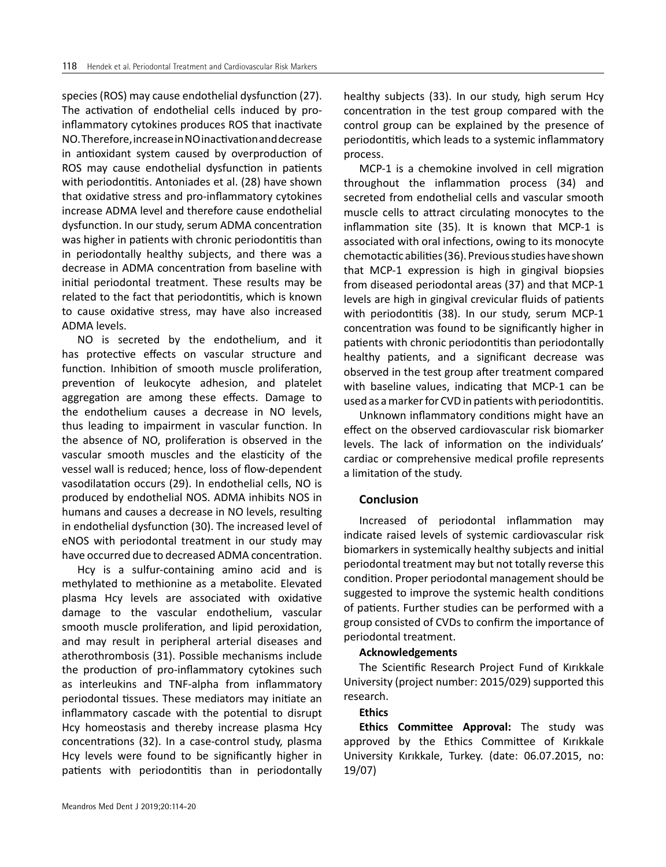species (ROS) may cause endothelial dysfunction (27). The activation of endothelial cells induced by proinflammatory cytokines produces ROS that inactivate NO. Therefore, increase in NO inactivation and decrease in antioxidant system caused by overproduction of ROS may cause endothelial dysfunction in patients with periodontitis. Antoniades et al. (28) have shown that oxidative stress and pro-inflammatory cytokines increase ADMA level and therefore cause endothelial dysfunction. In our study, serum ADMA concentration was higher in patients with chronic periodontitis than in periodontally healthy subjects, and there was a decrease in ADMA concentration from baseline with initial periodontal treatment. These results may be related to the fact that periodontitis, which is known to cause oxidative stress, may have also increased ADMA levels.

NO is secreted by the endothelium, and it has protective effects on vascular structure and function. Inhibition of smooth muscle proliferation, prevention of leukocyte adhesion, and platelet aggregation are among these effects. Damage to the endothelium causes a decrease in NO levels, thus leading to impairment in vascular function. In the absence of NO, proliferation is observed in the vascular smooth muscles and the elasticity of the vessel wall is reduced; hence, loss of flow-dependent vasodilatation occurs (29). In endothelial cells, NO is produced by endothelial NOS. ADMA inhibits NOS in humans and causes a decrease in NO levels, resulting in endothelial dysfunction (30). The increased level of eNOS with periodontal treatment in our study may have occurred due to decreased ADMA concentration.

Hcy is a sulfur-containing amino acid and is methylated to methionine as a metabolite. Elevated plasma Hcy levels are associated with oxidative damage to the vascular endothelium, vascular smooth muscle proliferation, and lipid peroxidation, and may result in peripheral arterial diseases and atherothrombosis (31). Possible mechanisms include the production of pro-inflammatory cytokines such as interleukins and TNF-alpha from inflammatory periodontal tissues. These mediators may initiate an inflammatory cascade with the potential to disrupt Hcy homeostasis and thereby increase plasma Hcy concentrations (32). In a case-control study, plasma Hcy levels were found to be significantly higher in patients with periodontitis than in periodontally healthy subjects (33). In our study, high serum Hcy concentration in the test group compared with the control group can be explained by the presence of periodontitis, which leads to a systemic inflammatory process.

MCP-1 is a chemokine involved in cell migration throughout the inflammation process (34) and secreted from endothelial cells and vascular smooth muscle cells to attract circulating monocytes to the inflammation site (35). It is known that MCP-1 is associated with oral infections, owing to its monocyte chemotactic abilities (36). Previous studies have shown that MCP-1 expression is high in gingival biopsies from diseased periodontal areas (37) and that MCP-1 levels are high in gingival crevicular fluids of patients with periodontitis (38). In our study, serum MCP-1 concentration was found to be significantly higher in patients with chronic periodontitis than periodontally healthy patients, and a significant decrease was observed in the test group after treatment compared with baseline values, indicating that MCP-1 can be used as a marker for CVD in patients with periodontitis.

Unknown inflammatory conditions might have an effect on the observed cardiovascular risk biomarker levels. The lack of information on the individuals' cardiac or comprehensive medical profile represents a limitation of the study.

# **Conclusion**

Increased of periodontal inflammation may indicate raised levels of systemic cardiovascular risk biomarkers in systemically healthy subjects and initial periodontal treatment may but not totally reverse this condition. Proper periodontal management should be suggested to improve the systemic health conditions of patients. Further studies can be performed with a group consisted of CVDs to confirm the importance of periodontal treatment.

#### **Acknowledgements**

The Scientific Research Project Fund of Kırıkkale University (project number: 2015/029) supported this research.

# **Ethics**

**Ethics Committee Approval:** The study was approved by the Ethics Committee of Kırıkkale University Kırıkkale, Turkey. (date: 06.07.2015, no: 19/07)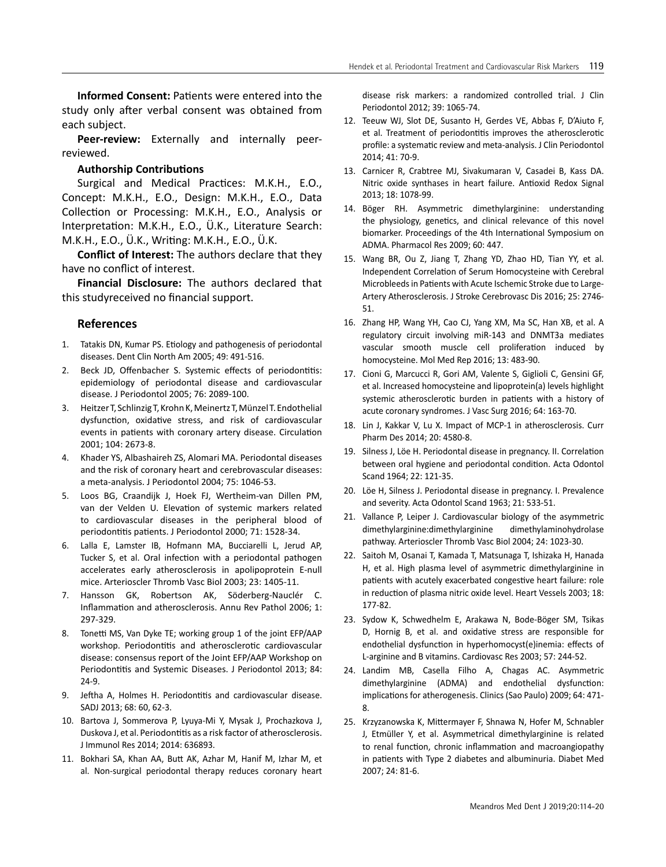**Informed Consent:** Patients were entered into the study only after verbal consent was obtained from each subject.

**Peer-review:** Externally and internally peerreviewed.

#### **Authorship Contributions**

Surgical and Medical Practices: M.K.H., E.O., Concept: M.K.H., E.O., Design: M.K.H., E.O., Data Collection or Processing: M.K.H., E.O., Analysis or Interpretation: M.K.H., E.O., Ü.K., Literature Search: M.K.H., E.O., Ü.K., Writing: M.K.H., E.O., Ü.K.

**Conflict of Interest:** The authors declare that they have no conflict of interest.

**Financial Disclosure:** The authors declared that this studyreceived no financial support.

#### **References**

- 1. Tatakis DN, Kumar PS. Etiology and pathogenesis of periodontal diseases. Dent Clin North Am 2005; 49: 491-516.
- 2. Beck JD, Offenbacher S. Systemic effects of periodontitis: epidemiology of periodontal disease and cardiovascular disease. J Periodontol 2005; 76: 2089-100.
- 3. Heitzer T, Schlinzig T, Krohn K, Meinertz T, Münzel T. Endothelial dysfunction, oxidative stress, and risk of cardiovascular events in patients with coronary artery disease. Circulation 2001; 104: 2673-8.
- 4. Khader YS, Albashaireh ZS, Alomari MA. Periodontal diseases and the risk of coronary heart and cerebrovascular diseases: a meta-analysis. J Periodontol 2004; 75: 1046-53.
- 5. Loos BG, Craandijk J, Hoek FJ, Wertheim-van Dillen PM, van der Velden U. Elevation of systemic markers related to cardiovascular diseases in the peripheral blood of periodontitis patients. J Periodontol 2000; 71: 1528-34.
- 6. Lalla E, Lamster IB, Hofmann MA, Bucciarelli L, Jerud AP, Tucker S, et al. Oral infection with a periodontal pathogen accelerates early atherosclerosis in apolipoprotein E-null mice. Arterioscler Thromb Vasc Biol 2003; 23: 1405-11.
- 7. Hansson GK, Robertson AK, Söderberg-Nauclér C. Inflammation and atherosclerosis. Annu Rev Pathol 2006; 1: 297-329.
- 8. Tonetti MS, Van Dyke TE; working group 1 of the joint EFP/AAP workshop. Periodontitis and atherosclerotic cardiovascular disease: consensus report of the Joint EFP/AAP Workshop on Periodontitis and Systemic Diseases. J Periodontol 2013; 84: 24-9.
- 9. Jeftha A, Holmes H. Periodontitis and cardiovascular disease. SADJ 2013; 68: 60, 62-3.
- 10. Bartova J, Sommerova P, Lyuya-Mi Y, Mysak J, Prochazkova J, Duskova J, et al. Periodontitis as a risk factor of atherosclerosis. J Immunol Res 2014; 2014: 636893.
- 11. Bokhari SA, Khan AA, Butt AK, Azhar M, Hanif M, Izhar M, et al. Non-surgical periodontal therapy reduces coronary heart

disease risk markers: a randomized controlled trial. J Clin Periodontol 2012; 39: 1065-74.

- 12. Teeuw WJ, Slot DE, Susanto H, Gerdes VE, Abbas F, D'Aiuto F, et al. Treatment of periodontitis improves the atherosclerotic profile: a systematic review and meta-analysis. J Clin Periodontol 2014; 41: 70-9.
- 13. Carnicer R, Crabtree MJ, Sivakumaran V, Casadei B, Kass DA. Nitric oxide synthases in heart failure. Antioxid Redox Signal 2013; 18: 1078-99.
- 14. Böger RH. Asymmetric dimethylarginine: understanding the physiology, genetics, and clinical relevance of this novel biomarker. Proceedings of the 4th International Symposium on ADMA. Pharmacol Res 2009; 60: 447.
- 15. Wang BR, Ou Z, Jiang T, Zhang YD, Zhao HD, Tian YY, et al. Independent Correlation of Serum Homocysteine with Cerebral Microbleeds in Patients with Acute Ischemic Stroke due to Large-Artery Atherosclerosis. J Stroke Cerebrovasc Dis 2016; 25: 2746- 51.
- 16. Zhang HP, Wang YH, Cao CJ, Yang XM, Ma SC, Han XB, et al. A regulatory circuit involving miR-143 and DNMT3a mediates vascular smooth muscle cell proliferation induced by homocysteine. Mol Med Rep 2016; 13: 483-90.
- 17. Cioni G, Marcucci R, Gori AM, Valente S, Giglioli C, Gensini GF, et al. Increased homocysteine and lipoprotein(a) levels highlight systemic atherosclerotic burden in patients with a history of acute coronary syndromes. J Vasc Surg 2016; 64: 163-70.
- 18. Lin J, Kakkar V, Lu X. Impact of MCP-1 in atherosclerosis. Curr Pharm Des 2014; 20: 4580-8.
- 19. Silness J, Löe H. Periodontal disease in pregnancy. II. Correlation between oral hygiene and periodontal condition. Acta Odontol Scand 1964; 22: 121-35.
- 20. Löe H, Silness J. Periodontal disease in pregnancy. I. Prevalence and severity. Acta Odontol Scand 1963; 21: 533-51.
- 21. Vallance P, Leiper J. Cardiovascular biology of the asymmetric dimethylarginine:dimethylarginine dimethylaminohydrolase pathway. Arterioscler Thromb Vasc Biol 2004; 24: 1023-30.
- 22. Saitoh M, Osanai T, Kamada T, Matsunaga T, Ishizaka H, Hanada H, et al. High plasma level of asymmetric dimethylarginine in patients with acutely exacerbated congestive heart failure: role in reduction of plasma nitric oxide level. Heart Vessels 2003; 18: 177-82.
- 23. Sydow K, Schwedhelm E, Arakawa N, Bode-Böger SM, Tsikas D, Hornig B, et al. and oxidative stress are responsible for endothelial dysfunction in hyperhomocyst(e)inemia: effects of L-arginine and B vitamins. Cardiovasc Res 2003; 57: 244-52.
- 24. Landim MB, Casella Filho A, Chagas AC. Asymmetric dimethylarginine (ADMA) and endothelial dysfunction: implications for atherogenesis. Clinics (Sao Paulo) 2009; 64: 471- 8.
- 25. Krzyzanowska K, Mittermayer F, Shnawa N, Hofer M, Schnabler J, Etmüller Y, et al. Asymmetrical dimethylarginine is related to renal function, chronic inflammation and macroangiopathy in patients with Type 2 diabetes and albuminuria. Diabet Med 2007; 24: 81-6.